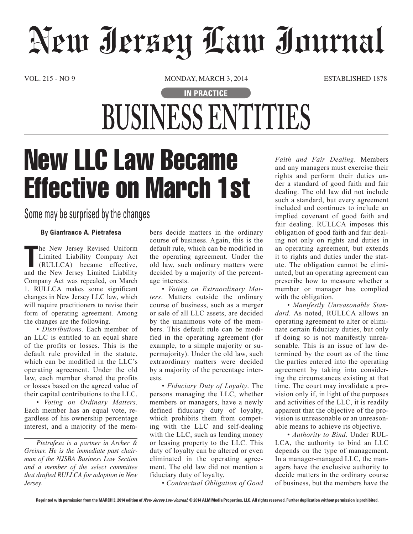# New Jersey Law Journal

VOL. 215 - NO 9 MONDAY, MARCH 3, 2014 ESTABLISHED 1878

### **IN PRACTICE BUSINESS ENTITIES**

## New LLC Law Became Effective on March 1st

### Some may be surprised by the changes

#### **By Gianfranco A. Pietrafesa**

**The New Jersey Revised Uniform Limited Liability Company Act (RULLCA) became effective, and the New Jersey Limited Liability** he New Jersey Revised Uniform Limited Liability Company Act (RULLCA) became effective, Company Act was repealed, on March 1. RULLCA makes some significant changes in New Jersey LLC law, which will require practitioners to revise their form of operating agreement. Among the changes are the following.

• *Distributions.* Each member of an LLC is entitled to an equal share of the profits or losses. This is the default rule provided in the statute, which can be modified in the LLC's operating agreement. Under the old law, each member shared the profits or losses based on the agreed value of their capital contributions to the LLC.

• *Voting on Ordinary Matters*. Each member has an equal vote, regardless of his ownership percentage interest, and a majority of the mem-

*Pietrafesa is a partner in Archer & Greiner. He is the immediate past chairman of the NJSBA Business Law Section and a member of the select committee that drafted RULLCA for adoption in New Jersey.* 

bers decide matters in the ordinary course of business. Again, this is the default rule, which can be modified in the operating agreement. Under the old law, such ordinary matters were decided by a majority of the percentage interests.

• *Voting on Extraordinary Matters*. Matters outside the ordinary course of business, such as a merger or sale of all LLC assets, are decided by the unanimous vote of the members. This default rule can be modified in the operating agreement (for example, to a simple majority or supermajority). Under the old law, such extraordinary matters were decided by a majority of the percentage interests.

• *Fiduciary Duty of Loyalty*. The persons managing the LLC, whether members or managers, have a newly defined fiduciary duty of loyalty, which prohibits them from competing with the LLC and self-dealing with the LLC, such as lending money or leasing property to the LLC. This duty of loyalty can be altered or even eliminated in the operating agreement. The old law did not mention a fiduciary duty of loyalty.

• *Contractual Obligation of Good* 

*Faith and Fair Dealing*. Members and any managers must exercise their rights and perform their duties under a standard of good faith and fair dealing. The old law did not include such a standard, but every agreement included and continues to include an implied covenant of good faith and fair dealing. RULLCA imposes this obligation of good faith and fair dealing not only on rights and duties in an operating agreement, but extends it to rights and duties under the statute. The obligation cannot be eliminated, but an operating agreement can prescribe how to measure whether a member or manager has complied with the obligation.

• *Manifestly Unreasonable Standard*. As noted, RULLCA allows an operating agreement to alter or eliminate certain fiduciary duties, but only if doing so is not manifestly unreasonable. This is an issue of law determined by the court as of the time the parties entered into the operating agreement by taking into considering the circumstances existing at that time. The court may invalidate a provision only if, in light of the purposes and activities of the LLC, it is readily apparent that the objective of the provision is unreasonable or an unreasonable means to achieve its objective.

• *Authority to Bind*. Under RUL-LCA, the authority to bind an LLC depends on the type of management. In a manager-managed LLC, the managers have the exclusive authority to decide matters in the ordinary course of business, but the members have the